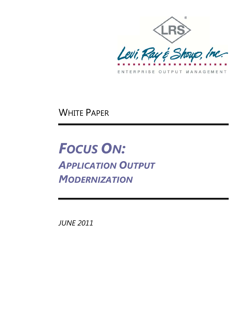

**WHITE PAPER** 

**FOCUS ON: APPLICATION OUTPUT MODERNIZATION** 

**JUNE 2011**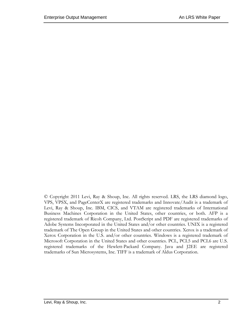© Copyright 2011 Levi, Ray & Shoup, Inc. All rights reserved. LRS, the LRS diamond logo, VPS, VPSX, and PageCenterX are registered trademarks and Innovate/Audit is a trademark of Levi, Ray & Shoup, Inc. IBM, CICS, and VTAM are registered trademarks of International Business Machines Corporation in the United States, other countries, or both. AFP is a registered trademark of Ricoh Company, Ltd. PostScript and PDF are registered trademarks of Adobe Systems Incorporated in the United States and/or other countries. UNIX is a registered trademark of The Open Group in the United States and other countries. Xerox is a trademark of Xerox Corporation in the U.S. and/or other countries. Windows is a registered trademark of Microsoft Corporation in the United States and other countries. PCL, PCL5 and PCL6 are U.S. registered trademarks of the Hewlett-Packard Company. Java and J2EE are registered trademarks of Sun Microsystems, Inc. TIFF is a trademark of Aldus Corporation.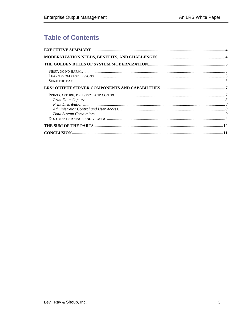# **Table of Contents**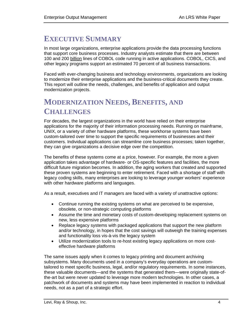## **EXECUTIVE SUMMARY**

In most large organizations, enterprise applications provide the data processing functions that support core business processes. Industry analysts estimate that there are between 100 and 200 billion lines of COBOL code running in active applications. COBOL, CICS, and other legacy programs support an estimated 70 percent of all business transactions.

Faced with ever-changing business and technology environments, organizations are looking to modernize their enterprise applications and the business-critical documents they create. This report will outline the needs, challenges, and benefits of application and output modernization projects.

# **MODERNIZATION NEEDS, BENEFITS, AND CHALLENGES**

For decades, the largest organizations in the world have relied on their enterprise applications for the majority of their information processing needs. Running on mainframe, UNIX, or a variety of other hardware platforms, these workhorse systems have been custom-tailored over time to support the specific requirements of businesses and their customers. Individual applications can streamline core business processes; taken together, they can give organizations a decisive edge over the competition.

The benefits of these systems come at a price, however. For example, the more a given application takes advantage of hardware- or OS-specific features and facilities, the more difficult future migration becomes. In addition, the aging workers that created and supported these proven systems are beginning to enter retirement. Faced with a shortage of staff with legacy coding skills, many enterprises are looking to leverage younger workers' experience with other hardware platforms and languages.

As a result, executives and IT managers are faced with a variety of unattractive options:

- Continue running the existing systems on what are perceived to be expensive, obsolete, or non-strategic computing platforms
- Assume the time and monetary costs of custom-developing replacement systems on new, less expensive platforms
- Replace legacy systems with packaged applications that support the new platform and/or technology, in hopes that the cost savings will outweigh the training expenses and functionality loss vis-à-vis the legacy system
- Utilize modernization tools to re-host existing legacy applications on more costeffective hardware platforms

The same issues apply when it comes to legacy printing and document archiving subsystems. Many documents used in a company's everyday operations are customtailored to meet specific business, legal, and/or regulatory requirements. In some instances, these valuable documents—and the systems that generated them—were originally state-ofthe-art but were never updated to leverage more modern technologies. In other cases, a patchwork of documents and systems may have been implemented in reaction to individual needs, not as a part of a strategic effort.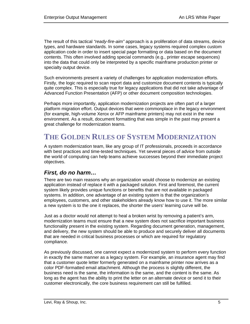The result of this tactical *"ready-fire-aim"* approach is a proliferation of data streams, device types, and hardware standards. In some cases, legacy systems required complex custom application code in order to insert special page formatting or data based on the document contents. This often involved adding special commands (e.g., printer escape sequences) into the data that could only be interpreted by a specific mainframe production printer or specialty output device.

Such environments present a variety of challenges for application modernization efforts. Firstly, the logic required to scan report data and customize document contents is typically quite complex. This is especially true for legacy applications that did not take advantage of Advanced Function Presentation (AFP) or other document composition technologies.

Perhaps more importantly, application modernization projects are often part of a larger platform migration effort. Output devices that were commonplace in the legacy environment (for example, high-volume Xerox or AFP mainframe printers) may not exist in the new environment. As a result, document formatting that was simple in the past may present a great challenge for modernization teams.

# **THE GOLDEN RULES OF SYSTEM MODERNIZATION**

A system modernization team, like any group of IT professionals, proceeds in accordance with best practices and time-tested techniques. Yet several pieces of advice from outside the world of computing can help teams achieve successes beyond their immediate project objectives.

## *First, do no harm…*

There are two main reasons why an organization would choose to modernize an existing application instead of replace it with a packaged solution. First and foremost, the current system likely provides unique functions or benefits that are not available in packaged systems. In addition, one advantage of an existing system is that the organization's employees, customers, and other stakeholders already know how to use it. The more similar a new system is to the one it replaces, the shorter the users' learning curve will be.

Just as a doctor would not attempt to heal a broken wrist by removing a patient's arm, modernization teams must ensure that a new system does not sacrifice important business functionality present in the existing system. Regarding document generation, management, and delivery, the new system should be able to produce and securely deliver all documents that are needed in critical business processes or which are required for regulatory compliance.

As previously discussed, one cannot expect a modernized system to perform every function in exactly the same manner as a legacy system. For example, an insurance agent may find that a customer quote letter formerly generated on a mainframe printer now arrives as a color PDF-formatted email attachment. Although the process is slightly different, the business need is the same, the information is the same, and the content is the same. As long as the agent has the ability to print the letter on an alternate device or send it to their customer electronically, the core business requirement can still be fulfilled.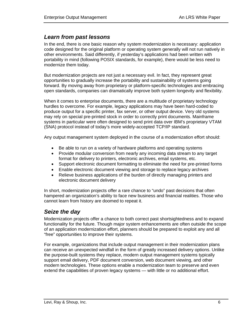## *Learn from past lessons*

In the end, there is one basic reason why system modernization is necessary: application code designed for the original platform or operating system generally will not run natively in other environments. Said differently, if yesterday's applications had been written with portability in mind (following POSIX standards, for example), there would be less need to modernize them today.

But modernization projects are not just a necessary evil. In fact, they represent great opportunities to gradually increase the portability and sustainability of systems going forward. By moving away from proprietary or platform-specific technologies and embracing open standards, companies can dramatically improve both system longevity and flexibility.

When it comes to enterprise documents, there are a multitude of proprietary technology hurdles to overcome. For example, legacy applications may have been hard-coded to produce output for a specific printer, fax server, or other output device. Very old systems may rely on special pre-printed stock in order to correctly print documents. Mainframe systems in particular were often designed to send print data over IBM's proprietary VTAM (SNA) protocol instead of today's more widely-accepted TCP/IP standard.

Any output management system deployed in the course of a modernization effort should:

- Be able to run on a variety of hardware platforms and operating systems
- Provide modular conversion from nearly any incoming data stream to any target format for delivery to printers, electronic archives, email systems, etc.
- Support electronic document formatting to eliminate the need for pre-printed forms
- Enable electronic document viewing and storage to replace legacy archives
- Relieve business applications of the burden of directly managing printers and electronic document delivery

In short, modernization projects offer a rare chance to "undo" past decisions that often hampered an organization's ability to face new business and financial realities. Those who cannot learn from history are doomed to repeat it.

## *Seize the day*

Modernization projects offer a chance to both correct past shortsightedness and to expand functionality for the future. Though major system enhancements are often outside the scope of an application modernization effort, planners should be prepared to exploit any and all "free" opportunities to improve their systems.

For example, organizations that include output management in their modernization plans can receive an unexpected windfall in the form of greatly increased delivery options. Unlike the purpose-built systems they replace, modern output management systems typically support email delivery, PDF document conversion, web document viewing, and other modern technologies. These options enable a modernization team to preserve and even extend the capabilities of proven legacy systems — with little or no additional effort.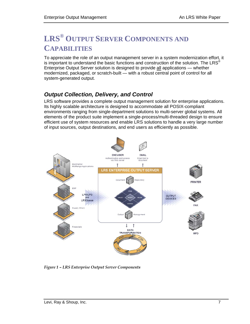# **LRS<sup>®</sup> OUTPUT SERVER COMPONENTS AND CAPABILITIES**

To appreciate the role of an output management server in a system modernization effort, it is important to understand the basic functions and construction of the solution. The LRS $^{\circ}$ Enterprise Output Server solution is designed to provide all applications — whether modernized, packaged, or scratch-built — with a robust central point of control for all system-generated output.

## **Output Collection, Delivery, and Control**

LRS software provides a complete output management solution for enterprise applications. Its highly scalable architecture is designed to accommodate all POSIX-compliant environments ranging from single-department solutions to multi-server global systems. All elements of the product suite implement a single-process/multi-threaded design to ensure efficient use of system resources and enable LRS solutions to handle a very large number of input sources, output destinations, and end users as efficiently as possible.



Figure 1 - LRS Enterprise Output Server Components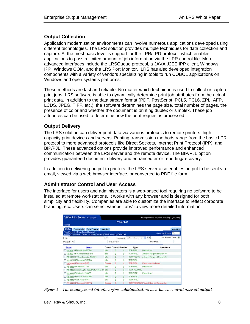#### **Output Collection**

Application modernization environments can involve numerous applications developed using different technologies. The LRS solution provides multiple techniques for data collection and capture. At the most basic level is support for the LPR/LPD protocol, which enables applications to pass a limited amount of job information via the LPR control file. More advanced interfaces include the LRSQueue protocol, a JAVA J2EE IPP client, Windows IPP, Windows COM, and the LRS Port Monitor. LRS has also developed integration components with a variety of vendors specializing in tools to run COBOL applications on Windows and open systems platforms.

These methods are fast and reliable. No matter which technique is used to collect or capture print jobs. LRS software is able to dynamically determine print job attributes from the actual print data. In addition to the data stream format (PDF, PostScript, PCL5, PCL6, ZPL, AFP, LCDS, JPEG, TIFF, etc.), the software determines the page size, total number of pages, the presence of color and whether the document is printing duplex or simplex. These job attributes can be used to determine how the print request is processed.

#### **Output Delivery**

The LRS solution can deliver print data via various protocols to remote printers, highcapacity print devices and servers. Printing transmission methods range from the basic LPR protocol to more advanced protocols like Direct Sockets, Internet Print Protocol (IPP), and BIP/PJL. These advanced options provide improved performance and enhanced communication between the LRS server and the remote device. The BIP/PJL option provides quaranteed document delivery and enhanced error reporting/recovery.

In addition to delivering output to printers, the LRS server also enables output to be sent via email, viewed via a web browser interface, or converted to PDF file form.

### **Administrator Control and User Access**

The interface for users and administrators is a web-based tool requiring no software to be installed at remote workstations. It works with any browser and is designed for both simplicity and flexibility. Companies are able to customize the interface to reflect corporate branding, etc. Users can select various 'tabs' to view more detailed information.

| <b>VPSX Print Server</b> (VSV1/oyer) |                                                                                                                          | Admin   Preferences   New Window   Logoff   Help |                        |                     |                                                    |                             |                                 |
|--------------------------------------|--------------------------------------------------------------------------------------------------------------------------|--------------------------------------------------|------------------------|---------------------|----------------------------------------------------|-----------------------------|---------------------------------|
|                                      |                                                                                                                          |                                                  |                        | <b>Printer List</b> |                                                    |                             |                                 |
| Refresh                              |                                                                                                                          |                                                  |                        |                     |                                                    |                             |                                 |
|                                      | Status Printer Info<br><b>Print Sarver</b>                                                                               | Location                                         |                        |                     |                                                    |                             | <b>Masking</b>                  |
|                                      | Top   Page Up   Page Down   Botton  <br>Add   Copy   Update   Delete   Activate   Connect   SNMP Info   Loc   Select All |                                                  |                        |                     |                                                    |                             | 15<br><b>Scroll Line Amount</b> |
| Find:                                |                                                                                                                          | Go                                               |                        | Command:            | Select a Command                                   | Go<br>$\ddot{}$             | Use Refresh Timer:              |
| Printer Mask:                        |                                                                                                                          |                                                  | Group Mesk:            |                     |                                                    | <b>VPSXMask:</b>            |                                 |
| Printer                              | <b>Name</b>                                                                                                              | <b>Status</b>                                    | <b>Queued Retained</b> |                     | Type                                               |                             | Information                     |
| $\Box$ PI12101                       | HP LaserJet 4200 DN                                                                                                      | Idle                                             | Ō                      | 8                   | <b>TCPIP/PJL</b>                                   | Paper-Low                   |                                 |
| F112103<br>o                         | HP Color LaserJet 3700                                                                                                   | Idle                                             | o                      | 8                   | <b>TCPIP/PJL</b>                                   | Attention-Required PaperLow |                                 |
|                                      | PS11124 HP Color LaserJet 465(DN                                                                                         | Idie                                             | o                      |                     | TCPIP/SOCK                                         | Attention-Required PaperLow |                                 |
|                                      | PS51123 HP LaserJet 8150 DN                                                                                              | Idle                                             | ö                      | 0                   | <b>TCPIP/PJL</b>                                   |                             |                                 |
|                                      | PS51269 HP LeserJet 2100                                                                                                 | Drained                                          | 0                      | 0                   | <b>TCPIP/PJL</b>                                   | Paper-Jam No-Paper          |                                 |
|                                      | PS74125 IBM Infoprint 1145                                                                                               | Idle                                             | Ü                      | $\mathbf{0}$        | <b>TCPIP/PJL</b>                                   | Paper-Low                   |                                 |
|                                      | S74135 Lexmark Optra T620 PmtCryption 1.1 Idle                                                                           |                                                  |                        | 8                   | <b>TCPIP/SECURE</b>                                |                             |                                 |
|                                      | PS74139 IBM Infoprint 2060ES                                                                                             | tdle                                             |                        |                     | <b>TCPIP/IPP</b>                                   | Paper-Low                   |                                 |
| п                                    | PS74141 HP LaserJet 2100 DN                                                                                              | Idie                                             | o                      | 0                   | <b>TCPIP/LPD</b>                                   |                             |                                 |
|                                      | PS74146 Ricoh Aficio 2035e                                                                                               | <b>Idle</b>                                      |                        | 9                   | <b>TCPIP/PJL</b>                                   |                             |                                 |
| п                                    | PS74148 HP LaserJet 4100 TN                                                                                              | Drained                                          | 9                      | 0                   | <b>TCPIP/SECURE Printer Offline Not-Responding</b> |                             |                                 |

Figure 2 - The management interface gives administrators web-based control over all output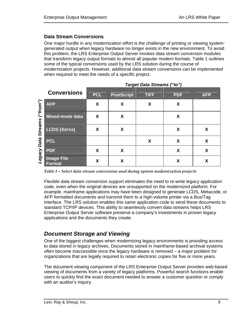### **Data Stream Conversions**

One major hurdle in any modernization effort is the challenge of printing or viewing systemgenerated output when legacy hardware no longer exists in the new environment. To avoid this problem, the LRS Enterprise Output Server invokes data stream conversion modules that transform legacy output formats to almost all popular modern formats. Table 1 outlines some of the typical conversions used by the LRS solution during the course of modernization projects. However, additional data stream conversions can be implemented when required to meet the needs of a specific project.

|                |                                    |            |                   | $1.4.9$ or $2.4.4$ or $2.4.1$ or $1.4$ |            |            |
|----------------|------------------------------------|------------|-------------------|----------------------------------------|------------|------------|
|                | <b>Conversions</b>                 | <b>PCL</b> | <b>PostScript</b> | <b>TIFF</b>                            | <b>PDF</b> | <b>AFP</b> |
| ("from")       | <b>AFP</b>                         | X          | X                 | X                                      | X          |            |
|                | Mixed-mode data                    | X          | X                 |                                        | X          |            |
| <b>Streams</b> | <b>LCDS (Xerox)</b>                | X          | X                 |                                        | X          | X          |
| <b>Data</b>    | <b>PCL</b>                         |            |                   | X                                      | X          | X          |
| Legacy         | <b>PDF</b>                         | X          | X                 |                                        | X          | X          |
|                | <b>Image File</b><br><b>Format</b> | X          | X                 |                                        | X          | X          |

*Target Data Streams ("to")* 

*Table 1 – Select data stream conversions used during system modernization projects* 

Flexible data stream conversion support eliminates the need to re-write legacy application code, even when the original devices are unsupported on the modernized platform. For example, mainframe applications may have been designed to generate LCDS, Metacode, or AFP formatted documents and transmit them to a high-volume printer via a Bus/Tag interface. The LRS solution enables this same application code to send these documents to standard TCP/IP devices. This ability to seamlessly convert data streams helps LRS Enterprise Output Server software preserve a company's investments in proven legacy applications and the documents they create.

## *Document Storage and Viewing*

One of the biggest challenges when modernizing legacy environments is providing access to data stored in legacy archives. Documents stored in mainframe-based archival systems often become inaccessible once the legacy hardware is removed – a major problem for organizations that are legally required to retain electronic copies for five or more years.

The document viewing component of the LRS Enterprise Output Server provides web-based viewing of documents from a variety of legacy platforms. Powerful search functions enable users to quickly find the exact document needed to answer a customer question or comply with an auditor's inquiry.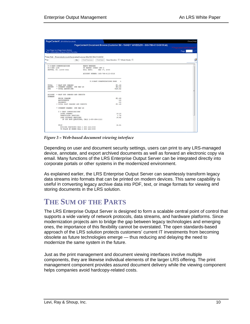| PageCenterX (PCXDEMO/hrudnak)                                     |                                                                                                            | Close   Help  |
|-------------------------------------------------------------------|------------------------------------------------------------------------------------------------------------|---------------|
|                                                                   | PageCenterX Document Browse (Customer Bill - RANDY WHEELER - 303-798-4110-001R.bd)                         |               |
| Top   Page Up   Page Down   Bottom                                |                                                                                                            | ot 7<br>Poge: |
| Print +  Information   Export   Add to Favorites                  |                                                                                                            |               |
|                                                                   | Folder Path: /Financials/Accounts Receivable/Customer Bills/303-738-4110-001R/                             |               |
| Find                                                              | Case Sensitive: Whole Words:<br>Find Previous<br>Find Next<br>Go                                           | B             |
| U S EAST COMMUNICATIONS<br>P.O BOX 1234<br>DENVER, CO. 12345-4321 | RANDY WHEELER<br>88 MARKET (TREET APT 2<br>BILL DATE:<br>MAY 07, 2008<br>ACCOUNT NUMBER: 303-798-4110-001R |               |
|                                                                   | U SEAST COMMUNICATIONS PAGE                                                                                |               |
| TOTAL<br>AMOUNT<br>DUE.                                           | · PAST DUE CHARGES<br>\$71.49<br>. CURRENT CHARGES DUE MAY 26<br>\$13.33<br>. TOTAL AMOUNT DUE<br>\$154.82 |               |
| ACCOUNT<br>SUMMARY                                                | . PAST DUE CHARGES AND CREDITS                                                                             |               |
| <b>PAYMENTS</b>                                                   | \$71.49<br>PRIOR CHARGES<br><b>ADJUSTMENTS</b><br>.00<br>.00                                               |               |
|                                                                   | . TOTAL PAST CHARGES AND CREDITS<br>\$71.49                                                                |               |
|                                                                   | · CURRENT CHARGES DUE MAY 26                                                                               |               |
|                                                                   | U S EAST COMUNICATIONS<br>19.15<br>LOCAL CHARGES<br>1.76<br>UNREGULATED SERVICES                           |               |
|                                                                   | 14.42<br>LONG DISTANCE SERVICES<br>IF YOU HAVE QUESTIONS, CALL 1-80(-244-1111                              |               |
| TT4T                                                              | 35.31<br>BILLING INQUIRIES CALL 1 800 222-0100<br>TO PLACE AN ORDER CALL 1 800 222-0:00                    |               |

Figure 3 - Web-based document viewing interface

Depending on user and document security settings, users can print to any LRS-managed device, annotate, and export archived documents as well as forward an electronic copy via email. Many functions of the LRS Enterprise Output Server can be integrated directly into corporate portals or other systems in the modernized environment.

As explained earlier, the LRS Enterprise Output Server can seamlessly transform legacy data streams into formats that can be printed on modern devices. This same capability is useful in converting legacy archive data into PDF, text, or image formats for viewing and storing documents in the LRS solution.

## **THE SUM OF THE PARTS**

The LRS Enterprise Output Server is designed to form a scalable central point of control that supports a wide variety of network protocols, data streams, and hardware platforms. Since modernization projects aim to bridge the gap between legacy technologies and emerging ones, the importance of this flexibility cannot be overstated. The open standards-based approach of the LRS solution protects customers' current IT investments from becoming obsolete as future technologies emerge - thus reducing and delaying the need to modernize the same system in the future.

Just as the print management and document viewing interfaces involve multiple components, they are likewise individual elements of the larger LRS offering. The print management component provides assured document delivery while the viewing component helps companies avoid hardcopy-related costs.